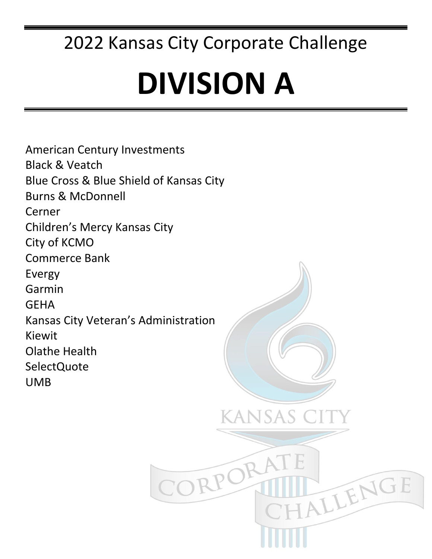## **DIVISION A**

American Century Investments Black & Veatch Blue Cross & Blue Shield of Kansas City Burns & McDonnell Cerner Children's Mercy Kansas City City of KCMO Commerce Bank Evergy Garmin **GEHA** Kansas City Veteran's Administration Kiewit Olathe Health SelectQuote UMB**CANSAS** ORPO TALLENGE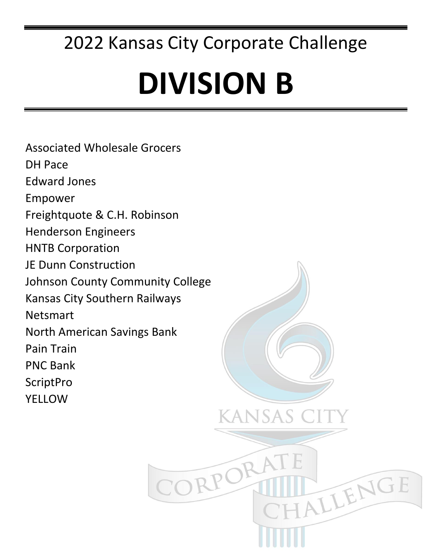# **DIVISION B**

ANSAS

ORPC

TALLENGE

Associated Wholesale Grocers DH Pace Edward Jones Empower Freightquote & C.H. Robinson Henderson Engineers HNTB Corporation JE Dunn Construction Johnson County Community College Kansas City Southern Railways Netsmart North American Savings Bank Pain Train PNC Bank **ScriptPro YELLOW**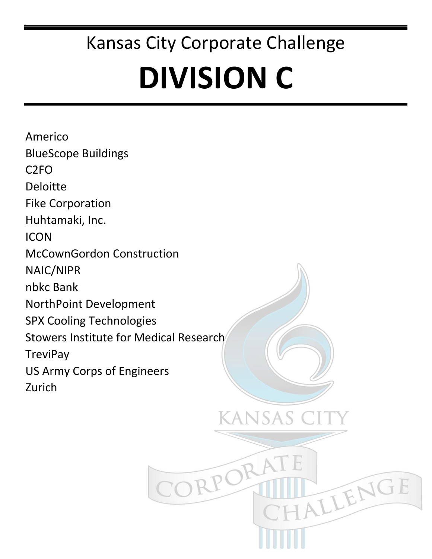# **DIVISION C**

kansas c

TALLENGE

TRPC

Americo BlueScope Buildings C2FO Deloitte Fike Corporation Huhtamaki, Inc. ICON McCownGordon Construction NAIC/NIPR nbkc Bank NorthPoint Development SPX Cooling Technologies Stowers Institute for Medical Research **TreviPay** US Army Corps of Engineers Zurich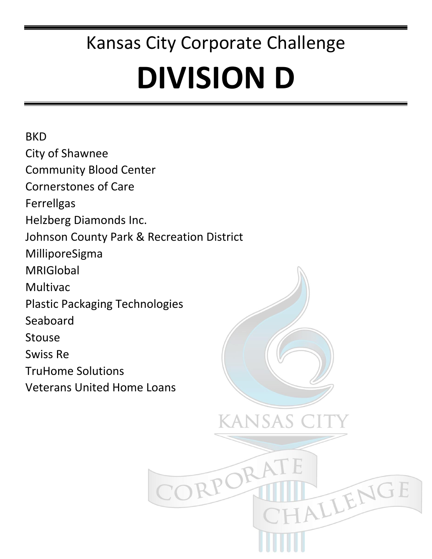# **DIVISION D**

KANSAS

RPC

ALLENGE

**BKD** City of Shawnee Community Blood Center Cornerstones of Care Ferrellgas Helzberg Diamonds Inc. Johnson County Park & Recreation District MilliporeSigma MRIGlobal Multivac Plastic Packaging Technologies Seaboard Stouse Swiss Re TruHome Solutions Veterans United Home Loans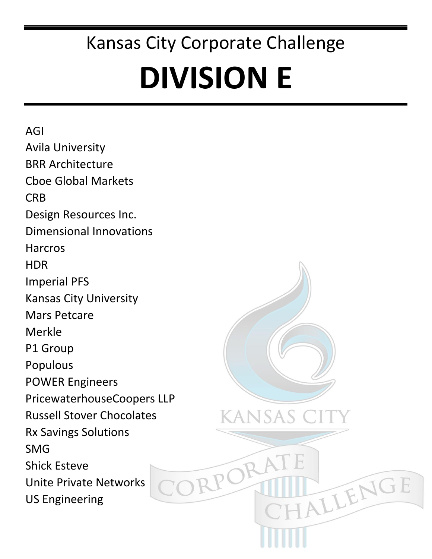# **DIVISION E**

**JSAS** 

TALLENGE

RPO

AGI Avila University BRR Architecture Cboe Global Markets **CRB** Design Resources Inc. Dimensional Innovations Harcros HDR Imperial PFS Kansas City University Mars Petcare Merkle P1 Group Populous POWER Engineers PricewaterhouseCoopers LLP Russell Stover Chocolates Rx Savings Solutions SMG Shick Esteve Unite Private Networks US Engineering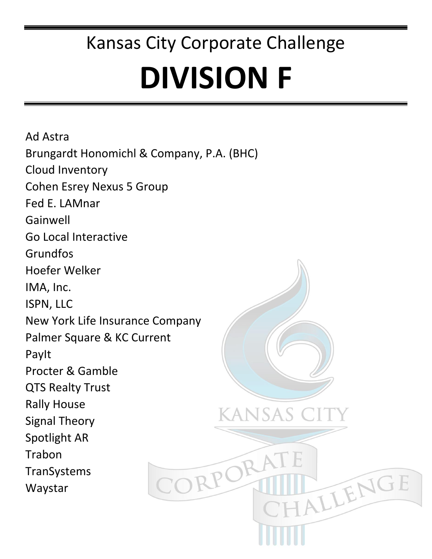### Kansas City Corporate Challenge **DIVISION F**

HALLENGE

Ad Astra Brungardt Honomichl & Company, P.A. (BHC) Cloud Inventory Cohen Esrey Nexus 5 Group Fed E. LAMnar Gainwell Go Local Interactive Grundfos Hoefer Welker IMA, Inc. ISPN, LLC New York Life Insurance Company Palmer Square & KC Current PayIt Procter & Gamble QTS Realty Trust Rally House kansas ( Signal Theory Spotlight AR Trabon CORPO TranSystems Waystar